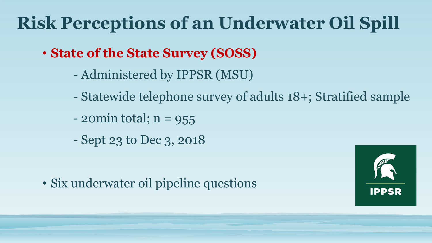# **Risk Perceptions of an Underwater Oil Spill**

- **State of the State Survey (SOSS)**
	- Administered by IPPSR (MSU)
	- Statewide telephone survey of adults 18+; Stratified sample
	- $-$  20 $min$  total;  $n = 955$
	- Sept 23 to Dec 3, 2018

• Six underwater oil pipeline questions

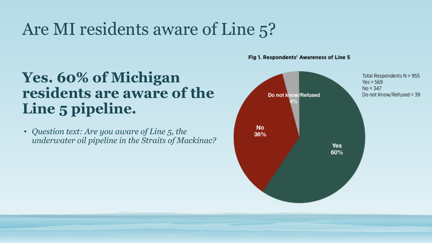## Are MI residents aware of Line 5?

### **Yes. 60% of Michigan residents are aware of the Line 5 pipeline.**

• *Question text: Are you aware of Line 5, the underwater oil pipeline in the Straits of Mackinac?* Fig 1. Respondents' Awareness of Line 5

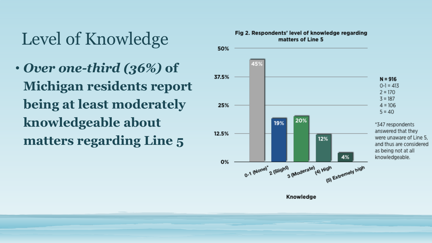## Level of Knowledge

• *Over one-third (36%)* **of Michigan residents report being at least moderately knowledgeable about matters regarding Line 5** 

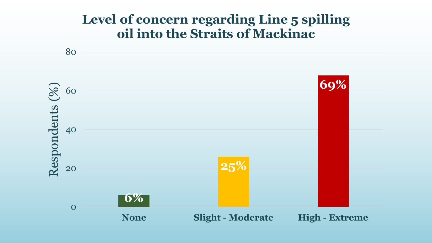#### **Level of concern regarding Line 5 spilling oil into the Straits of Mackinac**

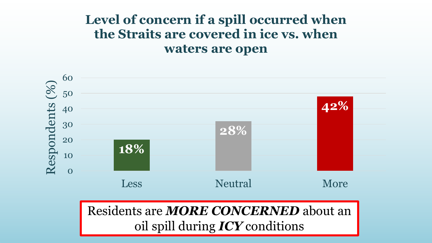#### **Level of concern if a spill occurred when the Straits are covered in ice vs. when waters are open**

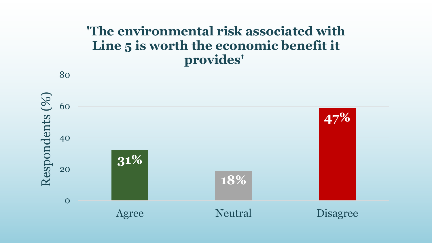#### **'The environmental risk associated with Line 5 is worth the economic benefit it provides'**

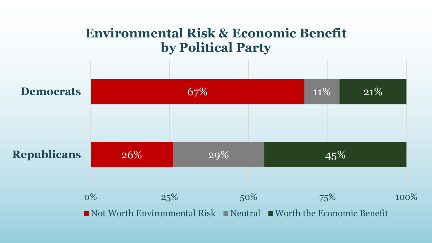#### **Environmental Risk & Economic Benefit by Political Party**

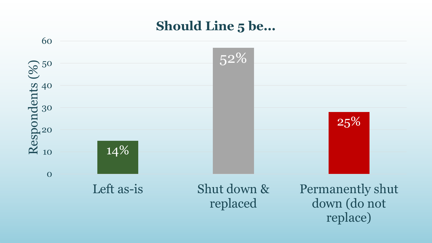#### **Should Line 5 be...**

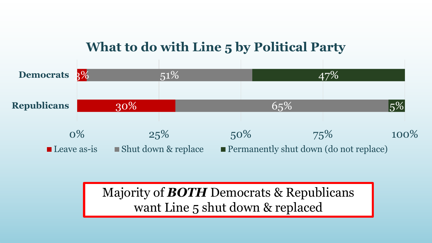#### **What to do with Line 5 by Political Party**



Majority of *BOTH* Democrats & Republicans want Line 5 shut down & replaced